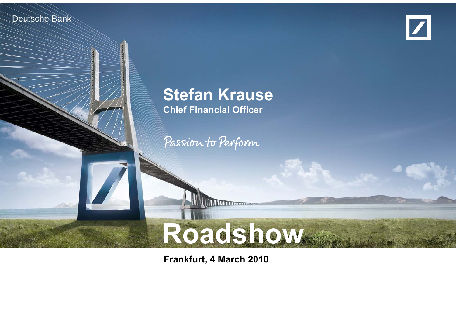Deutsche Bank



#### **Stefan Krause Chief Financial Officer**

Passion to Perform

# **Roadshow**

**Frankfurt, 4 March 2010**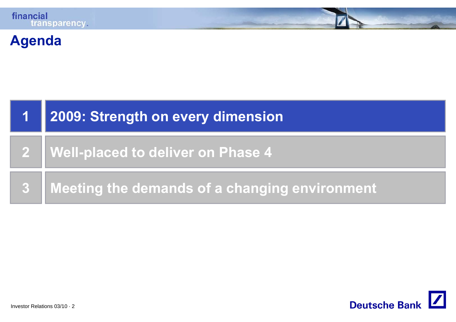## **Agenda**

|                | 2009: Strength on every dimension             |
|----------------|-----------------------------------------------|
|                | 2   Well-placed to deliver on Phase 4         |
| $\overline{3}$ | Meeting the demands of a changing environment |

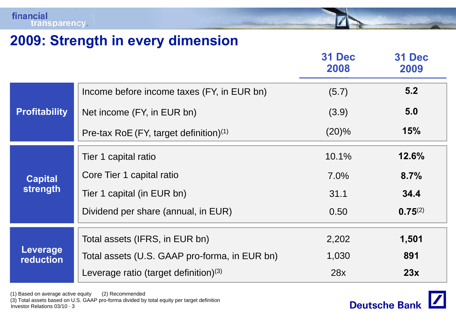#### **2009: Strength in every dimension**

|                              |                                               | <b>31 Dec</b><br>2008 | <b>31 Dec</b><br>2009 |
|------------------------------|-----------------------------------------------|-----------------------|-----------------------|
|                              | Income before income taxes (FY, in EUR bn)    | (5.7)                 | 5.2                   |
| <b>Profitability</b>         | Net income (FY, in EUR bn)                    | (3.9)                 | 5.0                   |
|                              | Pre-tax RoE (FY, target definition) $(1)$     | $(20)\%$              | 15%                   |
|                              | Tier 1 capital ratio                          | 10.1%                 | 12.6%                 |
| <b>Capital</b>               | Core Tier 1 capital ratio                     | $7.0\%$               | 8.7%                  |
| strength                     | Tier 1 capital (in EUR bn)                    | 31.1                  | 34.4                  |
|                              | Dividend per share (annual, in EUR)           | 0.50                  | $0.75^{(2)}$          |
|                              | Total assets (IFRS, in EUR bn)                | 2,202                 | 1,501                 |
| <b>Leverage</b><br>reduction | Total assets (U.S. GAAP pro-forma, in EUR bn) | 1,030                 | 891                   |
|                              | Leverage ratio (target definition) $(3)$      | 28x                   | 23x                   |

(1) Based on average active equity (2) Recommended

Investor Relations 03/10 · 3(3) Total assets based on U.S. GAAP pro-forma divided by total equity per target definition

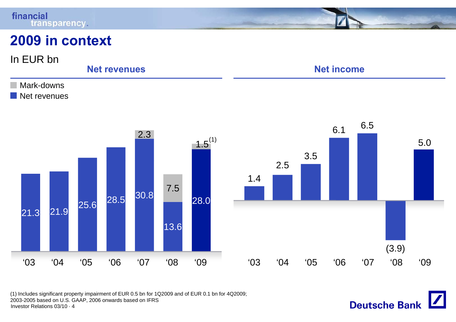#### financial transparency. **2009 in context** In EUR bn **Net revenues Net income**Mark-downsNet revenues



**Deutsche Bank** 

Investor Relations 03/10 · 4(1) Includes significant property impairment of EUR 0.5 bn for 1Q2009 and of EUR 0.1 bn for 4Q2009; 2003-2005 based on U.S. GAAP, 2006 onwards based on IFRS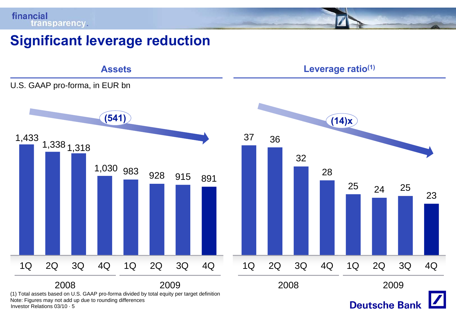## **Significant leverage reduction**

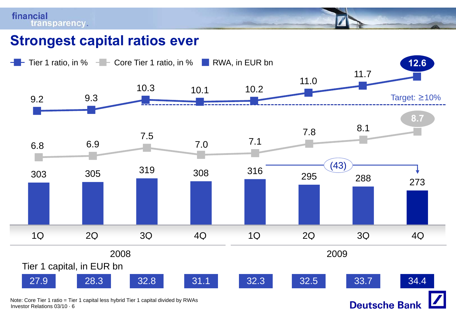#### **Strongest capital ratios ever**

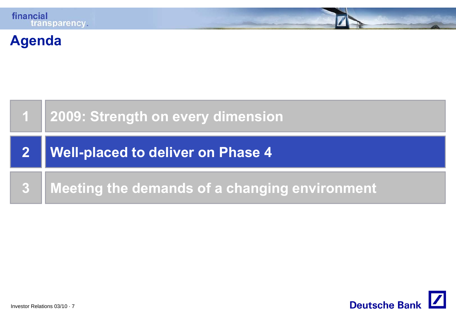#### **Agenda**



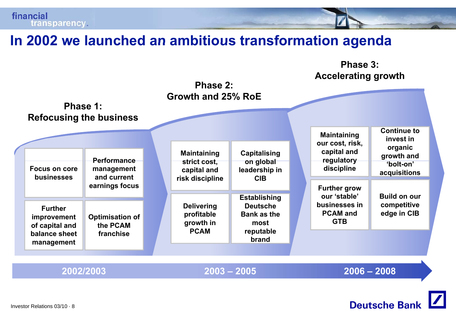#### **In 2002 we launched an ambitious transformation agenda**

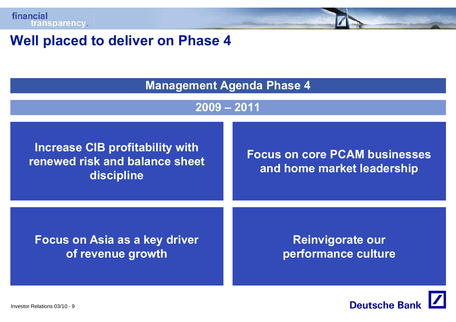#### **Well placed to deliver on Phase 4 Well**

**M t A d Ph 4 Managemen Agen da Phase** 

#### **2009 – 2011**

Increase CIB profitability with **Focus on core PCAM businesse**<br>renewed risk and balance sheet **and balance sheet**<br>and home market leadership<br>discipline

**Focus on core PCAM businesses**

**Focus on Asia as <sup>a</sup> key of revenue growth**

 **driver Reinvigorate our performance culture**

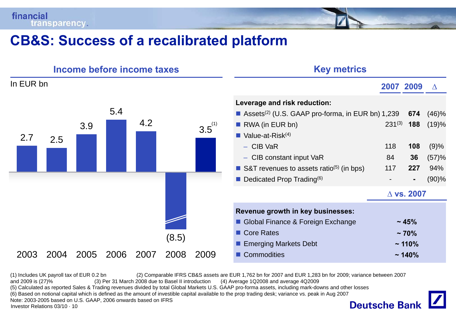#### financial **transparency**

#### **CB&S: Success of <sup>a</sup> recalibrated platform**

| Income before income taxes |      |      |      |      |               |             | <b>Key metrics</b>                                                                                                                                                                                                                                                                                           |                                 |                                                        |                                                 |
|----------------------------|------|------|------|------|---------------|-------------|--------------------------------------------------------------------------------------------------------------------------------------------------------------------------------------------------------------------------------------------------------------------------------------------------------------|---------------------------------|--------------------------------------------------------|-------------------------------------------------|
| In EUR bn                  |      |      |      |      |               |             |                                                                                                                                                                                                                                                                                                              | 2007 2009                       |                                                        | $\Delta$                                        |
| 2.7                        | 2.5  | 3.9  | 5.4  | 4.2  |               | $3.5^{(1)}$ | Leverage and risk reduction:<br>Assets <sup>(2)</sup> (U.S. GAAP pro-forma, in EUR bn) $1,239$<br>RWA (in EUR bn)<br>$\blacksquare$ Value-at-Risk <sup>(4)</sup><br>$-$ CIB VaR<br>- CIB constant input VaR<br>S&T revenues to assets ratio <sup>(5)</sup> (in bps)<br>Dedicated Prop Trading <sup>(6)</sup> | $231^{(3)}$<br>118<br>84<br>117 | 674<br>188<br>108<br>36<br>227<br>$\triangle$ vs. 2007 | (46)%<br>(19)%<br>(9)%<br>(57)%<br>94%<br>(90)% |
| 2003                       | 2004 | 2005 | 2006 | 2007 | (8.5)<br>2008 | 2009        | Revenue growth in key businesses:<br>Global Finance & Foreign Exchange<br>■ Core Rates<br>■ Emerging Markets Debt<br><b>Commodities</b>                                                                                                                                                                      |                                 | $\sim 45\%$<br>$~10\%$<br>$~110\%$<br>~140%            |                                                 |

(1) Includes UK payroll tax of EUR 0.2 bn (2) Comparable IFRS CB&S assets are EUR 1,762 bn for 2007 and EUR 1,283 bn for 2009; variance between 2007 and 2009 is (27)% (3) Per 31 March 2008 due to Basel II introduction (4) and 2009 is (27)% (3) Per 31 March 2008 due to Basel II introduction (5) Calculated as reported Sales & Trading revenues divided by total Global Markets U.S. GAAP pro-forma assets, including mark-downs and other losses (6) Based on notional capital which is defined as the amount of investible capital available to the prop trading desk; variance vs. peak in Aug 2007 Note: 2003-2005 based on U.S. GAAP, 2006 onwards based on IFRS**Deutsche Bank** Investor Relations 03/10 · 10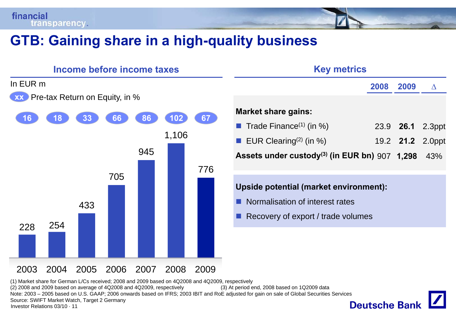## **GTB: Gaining share in <sup>a</sup> high -quality business quality**

| <b>Income before income taxes</b> |                                          |      |           |           |                     |           | <b>Key metrics</b>                                                                                                                                                                                  |                         |  |  |  |
|-----------------------------------|------------------------------------------|------|-----------|-----------|---------------------|-----------|-----------------------------------------------------------------------------------------------------------------------------------------------------------------------------------------------------|-------------------------|--|--|--|
| In EUR m                          |                                          |      |           |           |                     |           | 2008<br>2009                                                                                                                                                                                        | $\Delta$                |  |  |  |
|                                   | <b>XX</b> Pre-tax Return on Equity, in % |      |           |           |                     |           |                                                                                                                                                                                                     |                         |  |  |  |
| 16                                |                                          | 33   | 66<br>705 | 86<br>945 | <b>102</b><br>1,106 | 67<br>776 | <b>Market share gains:</b><br>Trade Finance $(1)$ (in $\%$ )<br>23.9<br>26.1<br><b>EUR Clearing</b> <sup>(2)</sup> (in %)<br>19.2 21.2<br>Assets under custody <sup>(3)</sup> (in EUR bn) 907 1,298 | 2.3ppt<br>2.0ppt<br>43% |  |  |  |
| 228                               | 254                                      | 433  |           |           |                     |           | Upside potential (market environment):<br>Normalisation of interest rates<br>Recovery of export / trade volumes                                                                                     |                         |  |  |  |
| 2003                              | 2004                                     | 2005 | 2006      | 2007      | 2008                | 2009      |                                                                                                                                                                                                     |                         |  |  |  |

**Deutsche Bank** 

(1) Market share for German L/Cs received; 2008 and 2009 based on 4Q2008 and 4Q2009, respectively

(2) 2008 and 2009 based on average of 4Q2008 and 4Q2009, respectively (3) At period end, 2008 based on 1Q2009 data Note: 2003 – 2005 based on U.S. GAAP; 2006 onwards based on IFRS; 2003 IBIT and RoE adjusted for gain on sale of Global Securities Services

Source: SWIFT Market Watch, Target 2 Germany

Investor Relations 03/10 · 11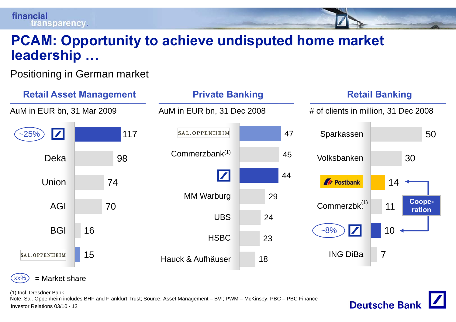#### financial **transparency**

#### **PCAM: Opportunity to achieve undisputed home market achieve leadership …**

#### Positioning in German market



(1) Incl. Dresdner Bank

Investor Relations 03/10 · 12Note: Sal. Oppenheim includes BHF and Frankfurt Trust; Source: Asset Management – BVI; PWM – McKinsey; PBC – PBC Finance

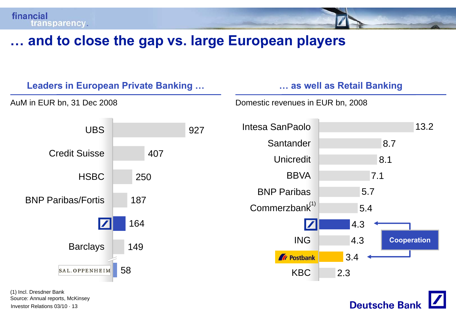financial transparency.

### **… and to close the gap vs large European players vs. players**



**Deutsche Banl** 

Investor Relations 03/10 · 13(1) Incl. Dresdner Bank Source: Annual reports, McKinsey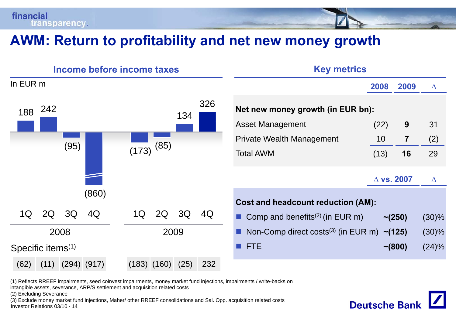## **AWM: Return to profitability and net new money growth to**

| Income before income taxes    |     |                        |       |       |                 |      |     | <b>Key metrics</b>                                           |      |                      |          |
|-------------------------------|-----|------------------------|-------|-------|-----------------|------|-----|--------------------------------------------------------------|------|----------------------|----------|
| In EUR m                      |     |                        |       |       |                 |      |     |                                                              | 2008 | 2009                 | $\Delta$ |
| 188                           | 242 |                        |       |       |                 | 134  | 326 | Net new money growth (in EUR bn):                            |      |                      |          |
|                               |     |                        |       |       |                 |      |     | <b>Asset Management</b>                                      | (22) | 9                    | 31       |
|                               |     | (95)                   |       |       | (85)            |      |     | <b>Private Wealth Management</b>                             | 10   | $\overline{7}$       | (2)      |
|                               |     |                        |       | (173) |                 |      |     | <b>Total AWM</b>                                             | (13) | 16                   | 29       |
|                               |     |                        | (860) |       |                 |      |     |                                                              |      | $\triangle$ vs. 2007 | $\Delta$ |
|                               |     |                        |       |       |                 |      |     | <b>Cost and headcount reduction (AM):</b>                    |      |                      |          |
| 1Q                            | 2Q  | 3Q                     | 4Q    | 1Q    | 2Q              | 3Q   | 4Q  | Comp and benefits <sup>(2)</sup> (in EUR m)                  |      | $\sim$ (250)         | (30)%    |
|                               |     | 2008                   |       |       |                 | 2009 |     | Non-Comp direct costs <sup>(3)</sup> (in EUR m) $\sim$ (125) |      |                      | (30)%    |
| Specific items <sup>(1)</sup> |     |                        |       |       |                 |      |     | $\blacksquare$ FTE                                           |      | $\sim (800)$         | (24)%    |
| (62)                          |     | $(11)$ $(294)$ $(917)$ |       |       | $(183)$ $(160)$ | (25) | 232 |                                                              |      |                      |          |

**Deutsche Bank** 

(1) Reflects RREEF impairments, seed coinvest impairments, money market fund injections, impairments / write-backs on

intangible assets, severance, ARP/S settlement and acquisition related costs

(2) Excluding Severance

Investor Relations 03/10 · 14(3) Exclude money market fund injections, Maher/ other RREEF consolidations and Sal. Opp. acquisition related costs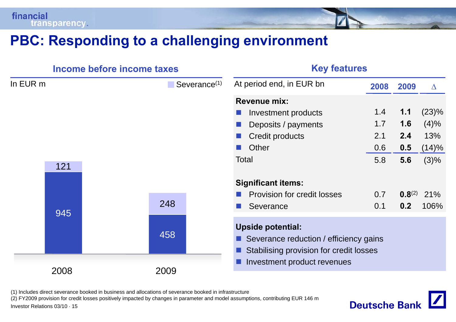## **PBC: Responding to <sup>a</sup> challenging environment**

|          | Income before income taxes |      |                 | <b>Key features</b>                                                                                           |                                 |                                 |                                             |  |  |
|----------|----------------------------|------|-----------------|---------------------------------------------------------------------------------------------------------------|---------------------------------|---------------------------------|---------------------------------------------|--|--|
| In EUR m |                            |      | Severance $(1)$ | At period end, in EUR bn                                                                                      | 2008                            | 2009                            | $\Delta$                                    |  |  |
| 121      |                            |      |                 | <b>Revenue mix:</b><br>Investment products<br>Deposits / payments<br><b>Credit products</b><br>Other<br>Total | 1.4<br>1.7<br>2.1<br>0.6<br>5.8 | 1.1<br>1.6<br>2.4<br>0.5<br>5.6 | (23)%<br>$(4)\%$<br>13%<br>(14)%<br>$(3)\%$ |  |  |
| 945      |                            | 248  |                 | <b>Significant items:</b><br><b>Provision for credit losses</b><br>Severance                                  | 0.7<br>0.1                      | $0.8^{(2)}$<br>0.2              | 21%<br>106%                                 |  |  |
|          |                            |      |                 | <b>Upside potential:</b><br>Severance reduction / efficiency gains<br>Stabilising provision for credit losses |                                 |                                 |                                             |  |  |
| 2008     |                            | 2009 |                 | Investment product revenues                                                                                   |                                 |                                 |                                             |  |  |

 $\mathbf{Z}$ 

**Deutsche Bank** 

(1) Includes direct severance booked in business and allocations of severance booked in infrastructure

(2) FY2009 provision for credit losses positively impacted by changes in parameter and model assumptions, contributing EUR 146 m

Investor Relations 03/10 · 15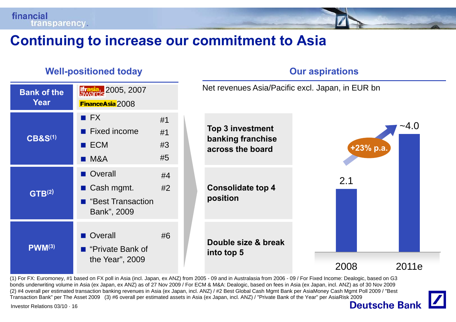## **Continuing to increase our commitment to Asia our**

#### **Well-positioned today Our aspirations**



Net revenues Asia/Pacific excl. Japan, in EUR bn



(1) For FX: Euromoney, #1 based on FX poll in Asia (incl. Japan, ex ANZ) from 2005 - 09 and in Australasia from 2006 - 09 / For Fixed Income: Dealogic, based on G3 bonds underwriting volume in Asia (ex Japan, ex ANZ) as of 27 Nov 2009 / For ECM & M&A: Dealogic, based on fees in Asia (ex Japan, incl. ANZ) as of 30 Nov 2009 (2) #4 overall per estimated transaction banking revenues in Asia (ex Japan, incl. ANZ) / #2 Best Global Cash Mgmt Bank per AsiaMoney Cash Mgmt Poll 2009 / "Best Transaction Bank" per The Asset 2009 (3) #6 overall per estimated assets in Asia (ex Japan, incl. ANZ) / "Private Bank of the Year" per AsiaRisk 2009<br>Deutsche Bank

Investor Relations 03/10 · 16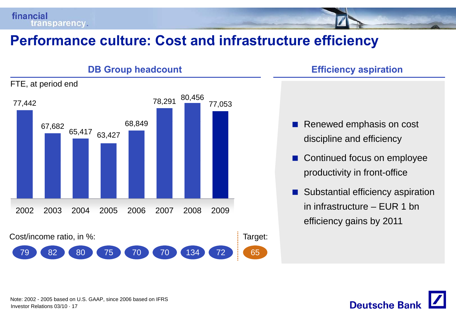

#### **Performance culture: Cost and infrastructure efficiency**



- Renewed emphasis on cost<br>discipline and efficiency p.
- $\mathbb{R}^2$ ■ Continued focus on employee productivity in front-office
- $\mathbb{R}^3$  Substantial efficiency aspiration in infrastructure – EUR 1 bnefficiency gains by 2011

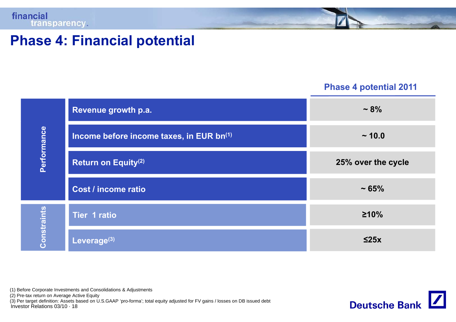

#### **Phase 4: Financial potential**

#### **Phase 4 potential 2011**

|             | Revenue growth p.a.                      | $~10^{9}$          |
|-------------|------------------------------------------|--------------------|
| Performance | Income before income taxes, in EUR bn(1) | ~10.0              |
|             | <b>Return on Equity(2)</b>               | 25% over the cycle |
|             | Cost / income ratio                      | ~1.65%             |
|             | <b>Tier 1 ratio</b>                      | $\geq 10\%$        |
| Constraints | Leverage <sup>(3)</sup>                  | $\leq$ 25x         |

(1) Before Corporate Investments and Consolidations & Adjustments

(2) Pre-tax return on Average Active Equity

Investor Relations 03/10 · 18 (3) Per target definition: Assets based on U.S.GAAP 'pro-forma'; total equity adjusted for FV gains / losses on DB issued debt

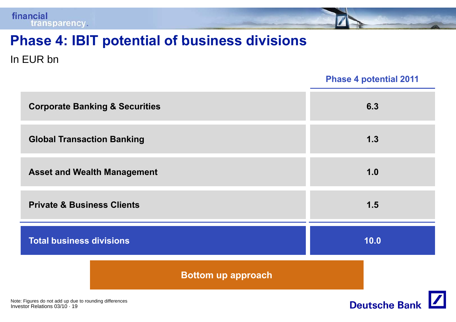

## **Phase 4: IBIT potential of business divisions**

In EUR bn

**Phase 4 potential 2011**

| <b>Bottom up approach</b><br>e: Figures do not add up due to rounding differences | <b>Deutsche Bank</b> |
|-----------------------------------------------------------------------------------|----------------------|
| <b>Total business divisions</b>                                                   | 10.0                 |
| <b>Private &amp; Business Clients</b>                                             | 1.5                  |
| <b>Asset and Wealth Management</b>                                                | 1.0                  |
| <b>Global Transaction Banking</b>                                                 | 1.3                  |
| <b>Corporate Banking &amp; Securities</b>                                         | 6.3                  |

Investor Relations 03/10 · 19Note: Figures do not add up due to rounding differences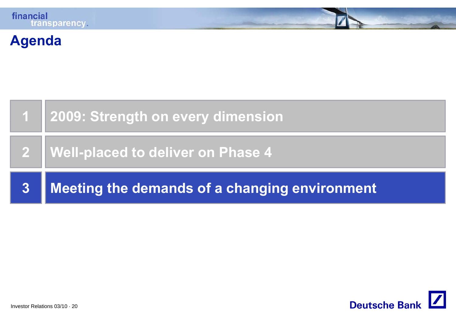#### **Agenda**



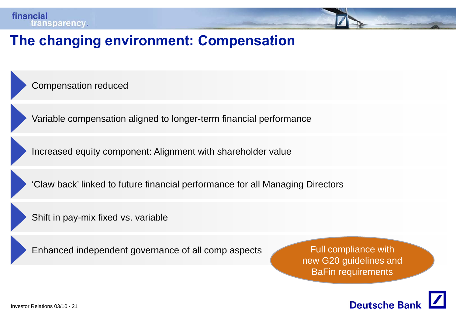## **The changing environment: Compensation**

Compensation reduced

Variable compensation aligned to longer-term financial performance

Increased equity component: Alignment with shareholder value

'Claw back' linked to future financial performance for all Managing Directors

Shift in pay-mix fixed vs. variable

Enhanced independent governance of all comp aspects Full compliance with

new G20 guidelines and BaFin requirements

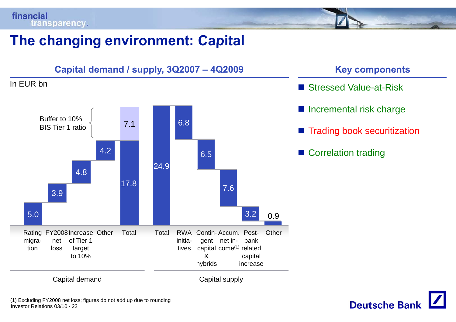## **The changing environment: Capital**



- Stressed Value-at-Risk
- **Incremental risk charge**
- $\blacksquare$  Trading book securitization
- Correlation trading



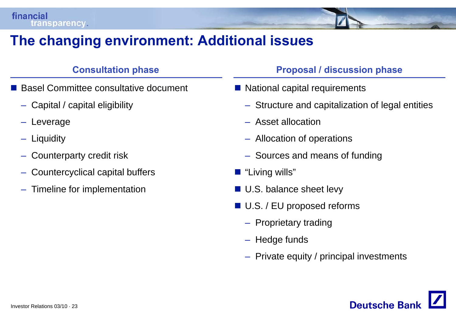## **The changing environment: Additional issues**

- Basel Committee consultative document
	- Capital / capital eligibility
	- Leverage
	- –**Liquidity**
	- –Counterparty credit risk
	- –Countercyclical capital buffers
	- –Timeline for implementation

#### **Consultation phase <b>Proposal** / discussion phase

- National capital requirements
	- Structure and capitalization of legal entities
- Asset allocation –
	- Allocation of operations
	- Sources and means of funding
	- "Living wills"
	- U.S. balance sheet levy
	- U.S. / EU proposed reforms
		- Proprietary trading
		- Hedge funds
		- Private equity / principal investments